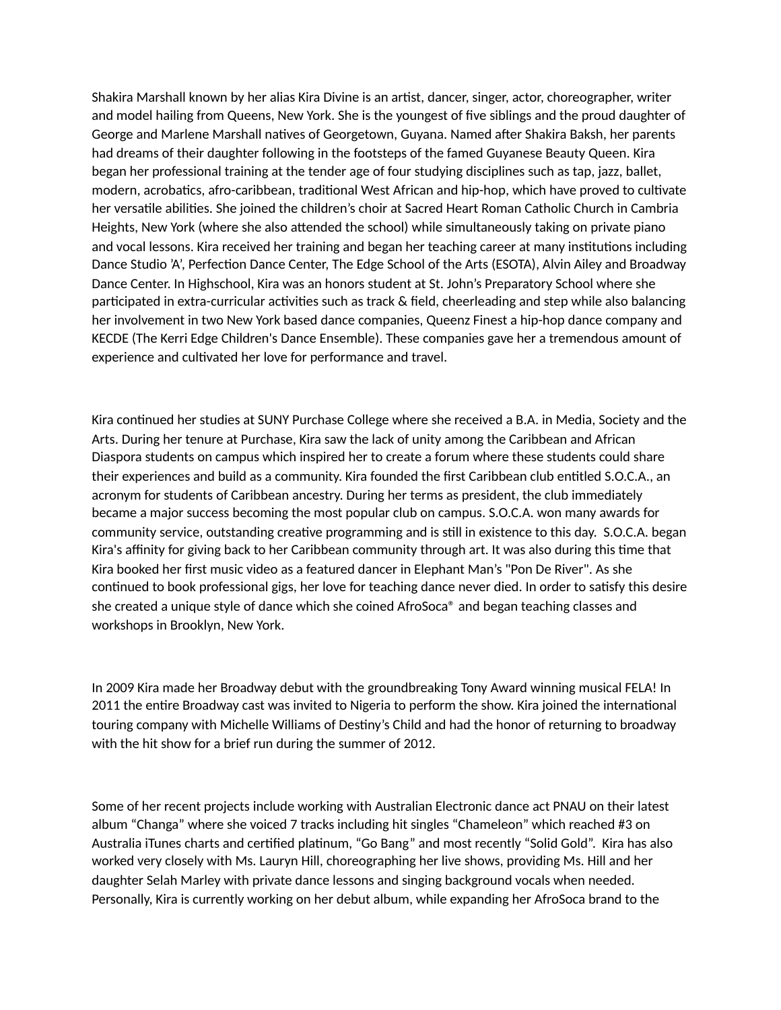Shakira Marshall known by her alias Kira Divine is an artist, dancer, singer, actor, choreographer, writer and model hailing from Queens, New York. She is the youngest of five siblings and the proud daughter of George and Marlene Marshall natives of Georgetown, Guyana. Named after Shakira Baksh, her parents had dreams of their daughter following in the footsteps of the famed Guyanese Beauty Queen. Kira began her professional training at the tender age of four studying disciplines such as tap, jazz, ballet, modern, acrobatics, afro-caribbean, traditional West African and hip-hop, which have proved to cultivate her versatile abilities. She joined the children's choir at Sacred Heart Roman Catholic Church in Cambria Heights, New York (where she also attended the school) while simultaneously taking on private piano and vocal lessons. Kira received her training and began her teaching career at many institutions including Dance Studio 'A', Perfection Dance Center, The Edge School of the Arts (ESOTA), Alvin Ailey and Broadway Dance Center. In Highschool, Kira was an honors student at St. John's Preparatory School where she participated in extra-curricular activities such as track & field, cheerleading and step while also balancing her involvement in two New York based dance companies, Queenz Finest a hip-hop dance company and KECDE (The Kerri Edge Children's Dance Ensemble). These companies gave her a tremendous amount of experience and cultivated her love for performance and travel.

Kira continued her studies at SUNY Purchase College where she received a B.A. in Media, Society and the Arts. During her tenure at Purchase, Kira saw the lack of unity among the Caribbean and African Diaspora students on campus which inspired her to create a forum where these students could share their experiences and build as a community. Kira founded the first Caribbean club entitled S.O.C.A., an acronym for students of Caribbean ancestry. During her terms as president, the club immediately became a major success becoming the most popular club on campus. S.O.C.A. won many awards for community service, outstanding creative programming and is still in existence to this day. S.O.C.A. began Kira's affinity for giving back to her Caribbean community through art. It was also during this time that Kira booked her first music video as a featured dancer in Elephant Man's "Pon De River". As she continued to book professional gigs, her love for teaching dance never died. In order to satisfy this desire she created a unique style of dance which she coined AfroSoca® and began teaching classes and workshops in Brooklyn, New York.

In 2009 Kira made her Broadway debut with the groundbreaking Tony Award winning musical FELA! In 2011 the entire Broadway cast was invited to Nigeria to perform the show. Kira joined the international touring company with Michelle Williams of Destiny's Child and had the honor of returning to broadway with the hit show for a brief run during the summer of 2012.

Some of her recent projects include working with Australian Electronic dance act PNAU on their latest album "Changa" where she voiced 7 tracks including hit singles "Chameleon" which reached #3 on Australia iTunes charts and certified platinum, "Go Bang" and most recently "Solid Gold". Kira has also worked very closely with Ms. Lauryn Hill, choreographing her live shows, providing Ms. Hill and her daughter Selah Marley with private dance lessons and singing background vocals when needed. Personally, Kira is currently working on her debut album, while expanding her AfroSoca brand to the